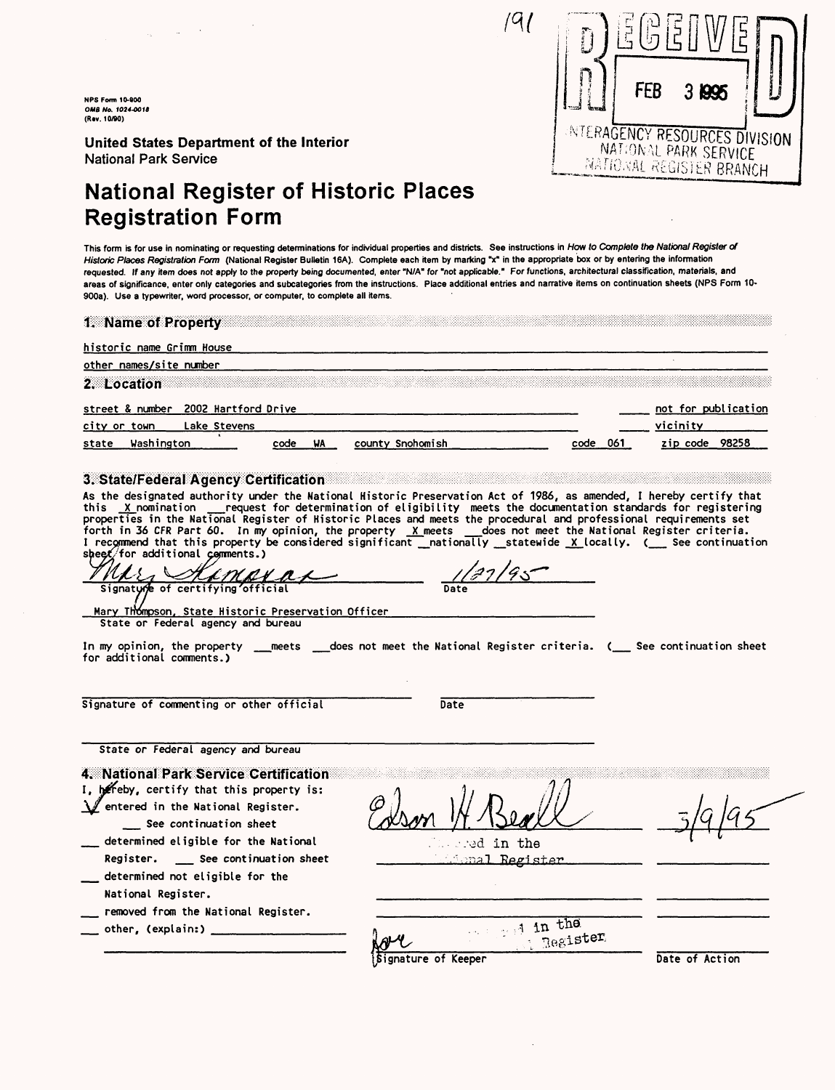**NFS Form 10-800 OMB Mo. 1024-0011 (R»v. 10/90)**

**United States Department of the Interior National Park Service** 

# National Register of Historic Places Registration Form

This form is for use in nominating or requesting determinations for individual properties and districts. See instructions in How to Complete the National Register of Historic Places Registration Form (National Register Bulletin 16A). Complete each item by marking "x" in the appropriate box or by entering the information requested. If any item does not apply to the property being documented, enter "N/A" for "not applicable." For functions, architectural classification, materials, and areas of significance, enter only categories and subcategories from the instructions. Place additional entries and narrative items on continuation sheets (NPS Form 10- 900a). Use a typewriter, word processor, or computer, to complete all items.

 $191$ 

| historic name Grimm House                           |              |            |                  |      |      |                                 |
|-----------------------------------------------------|--------------|------------|------------------|------|------|---------------------------------|
| other names/site number<br>2. Location              |              |            |                  |      |      |                                 |
| street & number 2002 Hartford Drive<br>city or town | Lake Stevens |            |                  |      |      | not for publication<br>vicinity |
|                                                     | Washington   | WA<br>code | county Snohomish | code | -061 | 98258<br>zip code               |

this <u>-X nomination - -</u> request for determination of eligibility meets the documentation standards for registerin<br>properties in the National Register of Historic Places and meets the procedural and professional requiremen forth in 36 CFR Part 60. In my opinion, the property  $\chi$  meets  $\Box$  does not meet the National Register criteria. I recommend that this property be considered significant \_\_nationally \_\_statewide <u>X</u>\_locally. (\_\_\_ See continuation sheet/for additional comments.)

Kimaxax Signature of certifying offic

Mary Thompson, State Historic Preservation Officer State or Federal agency and bureau

In my opinion, the property \_\_meets \_\_does not meet the National Register criteria. (\_\_ See continuation sheet for additional comments.)

Signature of commenting or other official Date

Date

 $1/27/95$ 

State or Federal agency and bureau

4. National Park Service Certification

I, hereby, certify that this property is: \^ entered in the National Register.

\_\_ See continuation sheet

- determined eligible for the National Register. \_\_\_\_ See continuation sheet
- determined not eligible for the National Register.
- removed from the National Register.
- other, (explain:) \_

•-•ad in the  $\ln 1$ Register

|                             | <b>Except in the</b> |                |
|-----------------------------|----------------------|----------------|
| over<br>Signature of Keeper | Register             |                |
|                             |                      | Date of Action |

NATIONAL PARK SERVICE

NTERAGENCY RESOURCES DIVISION

3 1995

FFB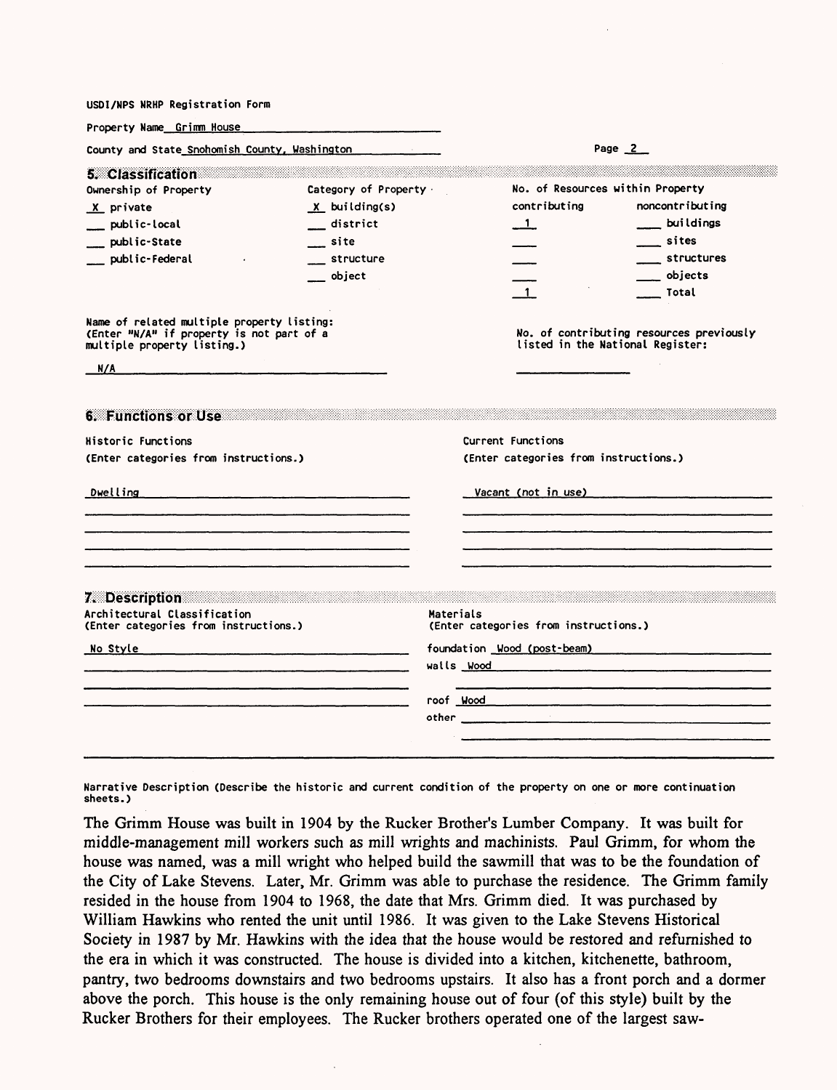| USDI/NPS NRHP Registration Form                                                                                                                                                                                                                                |                                                                                                                       |                                                |                                                                                                                                                                                                                                |
|----------------------------------------------------------------------------------------------------------------------------------------------------------------------------------------------------------------------------------------------------------------|-----------------------------------------------------------------------------------------------------------------------|------------------------------------------------|--------------------------------------------------------------------------------------------------------------------------------------------------------------------------------------------------------------------------------|
| Property Name Grimm House                                                                                                                                                                                                                                      |                                                                                                                       |                                                |                                                                                                                                                                                                                                |
| County and State Snohomish County, Washington                                                                                                                                                                                                                  |                                                                                                                       |                                                | Page $2$                                                                                                                                                                                                                       |
| 5. Classification<br>Ownership of Property<br>X private<br>public-local<br>public-State<br>public-Federal                                                                                                                                                      | Category of Property .<br>$X$ building(s)<br>district<br>site<br>structure<br>object                                  | contributing<br>$\blacksquare$<br>$\mathbf{1}$ | No. of Resources within Property<br>noncontributing<br>$\equiv$ buildings<br>sites<br>____ structures<br>___ objects<br>___ Total                                                                                              |
| Name of related multiple property listing:<br>(Enter "N/A" if property is not part of a<br>multiple property listing.)                                                                                                                                         |                                                                                                                       |                                                | No. of contributing resources previously<br>listed in the National Register:                                                                                                                                                   |
| N/A<br><u> 1980 - John Harry Harry Harry Harry Harry Harry Harry Harry Harry Harry Harry Harry Harry Harry Harry Harry H</u>                                                                                                                                   |                                                                                                                       |                                                |                                                                                                                                                                                                                                |
| 6. Functions or Use<br><b>Historic Functions</b><br>(Enter categories from instructions.)<br>Dwelling                                                                                                                                                          |                                                                                                                       | Current Functions                              | (Enter categories from instructions.)<br>Vacant (not in use) and the control of the control of the control of the control of the control of the control o                                                                      |
|                                                                                                                                                                                                                                                                |                                                                                                                       |                                                |                                                                                                                                                                                                                                |
|                                                                                                                                                                                                                                                                |                                                                                                                       |                                                |                                                                                                                                                                                                                                |
| 7. Description and the contract of the contract of the contract of the contract of the contract of the contract of the contract of the contract of the contract of the contract of the contract of the contract of the contrac<br>Architectural Classification |                                                                                                                       | Materials                                      |                                                                                                                                                                                                                                |
| (Enter categories from instructions.)                                                                                                                                                                                                                          |                                                                                                                       | (Enter categories from instructions.)          |                                                                                                                                                                                                                                |
| <u>No Style</u>                                                                                                                                                                                                                                                | <u> 1989 - Jacques Barristo, poet e company a company a company a company a company a company a company and the s</u> |                                                | foundation Wood (post-beam)                                                                                                                                                                                                    |
|                                                                                                                                                                                                                                                                | <u> 1980 - Johann John Stone, mars and de former and de former and design and design and design and design and de</u> |                                                | roof Wood Mood and the Contract of Mood and The Contract of Mood and The Contract of Mood and The Contract of Mood and The Contract of The Contract of The Contract of The Contract of The Contract of The Contract of The Con |
|                                                                                                                                                                                                                                                                |                                                                                                                       |                                                |                                                                                                                                                                                                                                |

**Narrative Description (Describe the historic and current condition of the property on one or more continuation sheets.)**

The Grimm House was built in 1904 by the Rucker Brother's Lumber Company. It was built for middle-management mill workers such as mill wrights and machinists. Paul Grimm, for whom the house was named, was a mill wright who helped build the sawmill that was to be the foundation of the City of Lake Stevens. Later, Mr. Grimm was able to purchase the residence. The Grimm family resided in the house from 1904 to 1968, the date that Mrs. Grimm died. It was purchased by William Hawkins who rented the unit until 1986. It was given to the Lake Stevens Historical Society in 1987 by Mr. Hawkins with the idea that the house would be restored and refurnished to the era in which it was constructed. The house is divided into a kitchen, kitchenette, bathroom, pantry, two bedrooms downstairs and two bedrooms upstairs. It also has a front porch and a dormer above the porch. This house is the only remaining house out of four (of this style) built by the Rucker Brothers for their employees. The Rucker brothers operated one of the largest saw-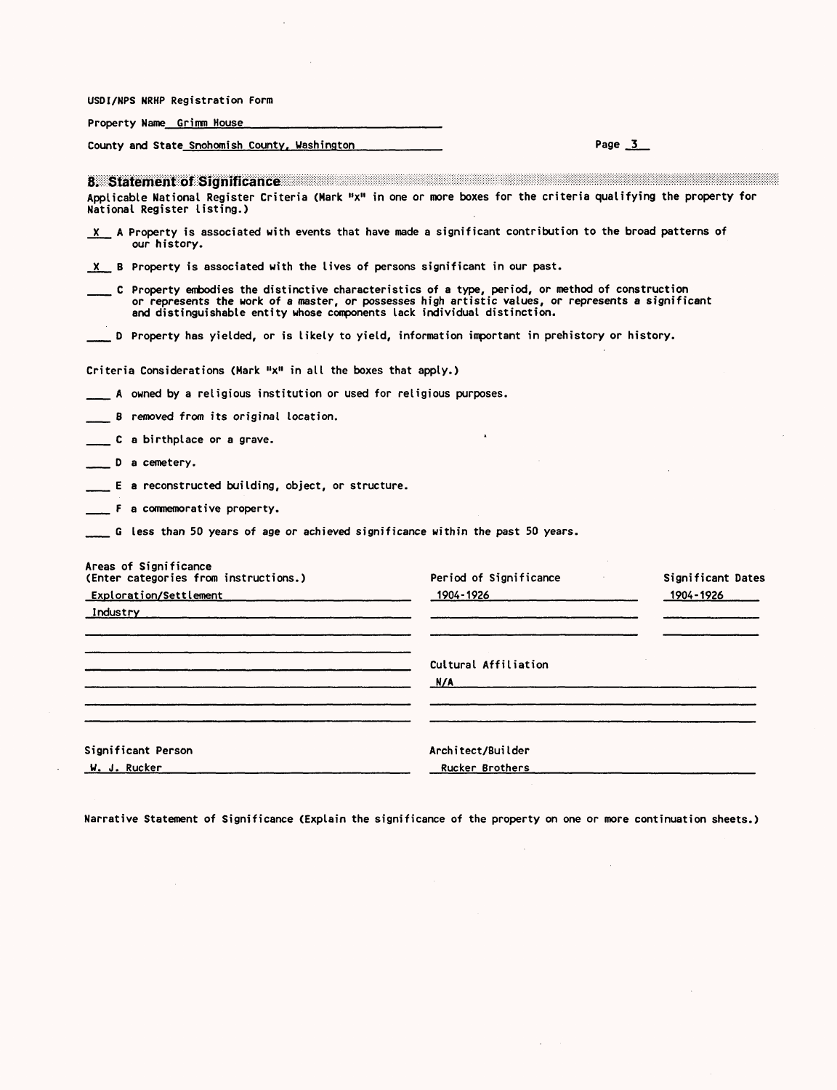| USDI/NPS NRHP Registration Form                                                                                                                                                                                                                                     |                                                                                                                                                                                                                               |                   |
|---------------------------------------------------------------------------------------------------------------------------------------------------------------------------------------------------------------------------------------------------------------------|-------------------------------------------------------------------------------------------------------------------------------------------------------------------------------------------------------------------------------|-------------------|
| Property Name Grimm House                                                                                                                                                                                                                                           |                                                                                                                                                                                                                               |                   |
| County and State Snohomish County, Washington                                                                                                                                                                                                                       |                                                                                                                                                                                                                               | Page $3$          |
| 8. Statement of Significance and a statement of Significance and a statement of Significance and a statement of<br>Applicable National Register Criteria (Mark "x" in one or more boxes for the criteria qualifying the property for<br>National Register listing.) |                                                                                                                                                                                                                               |                   |
| X A Property is associated with events that have made a significant contribution to the broad patterns of<br>our history.                                                                                                                                           |                                                                                                                                                                                                                               |                   |
| $X$ B Property is associated with the lives of persons significant in our past.                                                                                                                                                                                     |                                                                                                                                                                                                                               |                   |
| $\hspace{1cm}$ C Property embodies the distinctive characteristics of a type, period, or method of construction<br>and distinguishable entity whose components lack individual distinction.                                                                         | or represents the work of a master, or possesses high artistic values, or represents a significant                                                                                                                            |                   |
| D Property has yielded, or is likely to yield, information important in prehistory or history.                                                                                                                                                                      |                                                                                                                                                                                                                               |                   |
| Criteria Considerations (Mark "x" in all the boxes that apply.)                                                                                                                                                                                                     |                                                                                                                                                                                                                               |                   |
| ___ A owned by a religious institution or used for religious purposes.                                                                                                                                                                                              |                                                                                                                                                                                                                               |                   |
| B removed from its original location.                                                                                                                                                                                                                               |                                                                                                                                                                                                                               |                   |
| C a birthplace or a grave.                                                                                                                                                                                                                                          |                                                                                                                                                                                                                               |                   |
| D a cemetery.                                                                                                                                                                                                                                                       |                                                                                                                                                                                                                               |                   |
| $\equiv$ E a reconstructed building, object, or structure.                                                                                                                                                                                                          |                                                                                                                                                                                                                               |                   |
| ____ F a commemorative property.                                                                                                                                                                                                                                    |                                                                                                                                                                                                                               |                   |
| g Iess than 50 years of age or achieved significance within the past 50 years.                                                                                                                                                                                      |                                                                                                                                                                                                                               |                   |
| Areas of Significance<br>(Enter categories from instructions.)                                                                                                                                                                                                      | Period of Significance the control of the set of the set of the set of the set of the set of the set of the set of the set of the set of the set of the set of the set of the set of the set of the set of the set of the set | Significant Dates |
| Exploration/Settlement                                                                                                                                                                                                                                              | 1904-1926 2010 1910 1920                                                                                                                                                                                                      | 1904-1926         |
|                                                                                                                                                                                                                                                                     |                                                                                                                                                                                                                               |                   |
|                                                                                                                                                                                                                                                                     |                                                                                                                                                                                                                               |                   |
|                                                                                                                                                                                                                                                                     | Cultural Affiliation                                                                                                                                                                                                          |                   |
|                                                                                                                                                                                                                                                                     |                                                                                                                                                                                                                               |                   |
|                                                                                                                                                                                                                                                                     |                                                                                                                                                                                                                               |                   |
| Significant Person                                                                                                                                                                                                                                                  | Architect/Builder                                                                                                                                                                                                             |                   |
| W. J. Rucker                                                                                                                                                                                                                                                        | Rucker Brothers                                                                                                                                                                                                               |                   |

 $\sim$   $\sim$ 

 $\bar{z}$ 

 $\sim$   $\sim$ 

Narrative Statement of Significance (Explain the significance of the property on one or more continuation sheets.)

 $\mathcal{L}^{\text{max}}_{\text{max}}$ 

 $\sim 400$  km

 $\mathcal{L}^{\text{max}}_{\text{max}}$  ,  $\mathcal{L}^{\text{max}}_{\text{max}}$ 

 $\sim 10^7$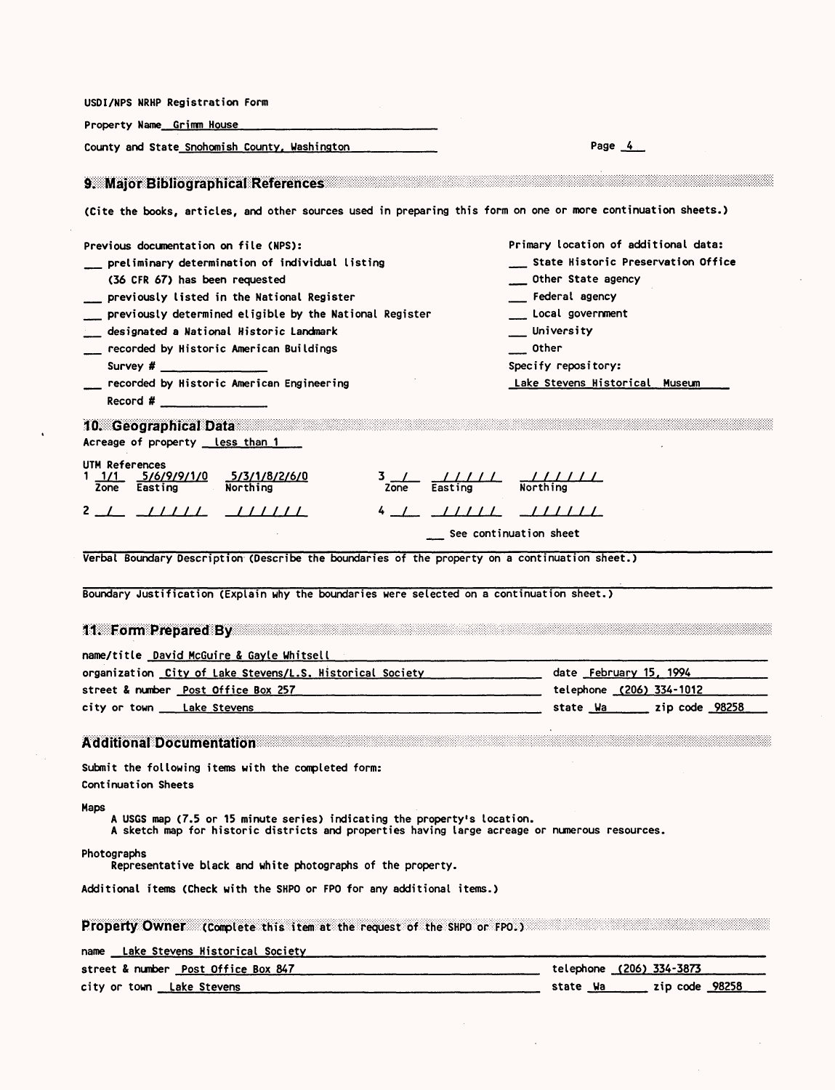| Property Name_Grimm House                                                                                                                                                                                                                                                                                                                                                                                                                                                                                                                                                                                                                                                                                                                                                                                                                                                                                                                                                                                                                                                        |                                                                                                                                                                                                                                                                                                                     |
|----------------------------------------------------------------------------------------------------------------------------------------------------------------------------------------------------------------------------------------------------------------------------------------------------------------------------------------------------------------------------------------------------------------------------------------------------------------------------------------------------------------------------------------------------------------------------------------------------------------------------------------------------------------------------------------------------------------------------------------------------------------------------------------------------------------------------------------------------------------------------------------------------------------------------------------------------------------------------------------------------------------------------------------------------------------------------------|---------------------------------------------------------------------------------------------------------------------------------------------------------------------------------------------------------------------------------------------------------------------------------------------------------------------|
| County and State Snohomish County, Washington                                                                                                                                                                                                                                                                                                                                                                                                                                                                                                                                                                                                                                                                                                                                                                                                                                                                                                                                                                                                                                    | Page $4$                                                                                                                                                                                                                                                                                                            |
| 9. Major Bibliographical References                                                                                                                                                                                                                                                                                                                                                                                                                                                                                                                                                                                                                                                                                                                                                                                                                                                                                                                                                                                                                                              |                                                                                                                                                                                                                                                                                                                     |
| (Cite the books, articles, and other sources used in preparing this form on one or more continuation sheets.)                                                                                                                                                                                                                                                                                                                                                                                                                                                                                                                                                                                                                                                                                                                                                                                                                                                                                                                                                                    |                                                                                                                                                                                                                                                                                                                     |
| Previous documentation on file (NPS):                                                                                                                                                                                                                                                                                                                                                                                                                                                                                                                                                                                                                                                                                                                                                                                                                                                                                                                                                                                                                                            | Primary location of additional data:                                                                                                                                                                                                                                                                                |
| ___ preliminary determination of individual listing                                                                                                                                                                                                                                                                                                                                                                                                                                                                                                                                                                                                                                                                                                                                                                                                                                                                                                                                                                                                                              | State Historic Preservation Office                                                                                                                                                                                                                                                                                  |
| (36 CFR 67) has been requested                                                                                                                                                                                                                                                                                                                                                                                                                                                                                                                                                                                                                                                                                                                                                                                                                                                                                                                                                                                                                                                   | ___ Other State agency                                                                                                                                                                                                                                                                                              |
| __ previously listed in the National Register                                                                                                                                                                                                                                                                                                                                                                                                                                                                                                                                                                                                                                                                                                                                                                                                                                                                                                                                                                                                                                    | Federal agency                                                                                                                                                                                                                                                                                                      |
| previously determined eligible by the National Register                                                                                                                                                                                                                                                                                                                                                                                                                                                                                                                                                                                                                                                                                                                                                                                                                                                                                                                                                                                                                          | Local government                                                                                                                                                                                                                                                                                                    |
| designated a National Historic Landmark                                                                                                                                                                                                                                                                                                                                                                                                                                                                                                                                                                                                                                                                                                                                                                                                                                                                                                                                                                                                                                          | __ University                                                                                                                                                                                                                                                                                                       |
| ___ recorded by Historic American Buildings                                                                                                                                                                                                                                                                                                                                                                                                                                                                                                                                                                                                                                                                                                                                                                                                                                                                                                                                                                                                                                      | Other                                                                                                                                                                                                                                                                                                               |
| Survey # _______________                                                                                                                                                                                                                                                                                                                                                                                                                                                                                                                                                                                                                                                                                                                                                                                                                                                                                                                                                                                                                                                         | Specify repository:                                                                                                                                                                                                                                                                                                 |
| recorded by Historic American Engineering                                                                                                                                                                                                                                                                                                                                                                                                                                                                                                                                                                                                                                                                                                                                                                                                                                                                                                                                                                                                                                        | Lake Stevens Historical Museum                                                                                                                                                                                                                                                                                      |
| Record # $\frac{1}{2}$ Record # $\frac{1}{2}$ Record # $\frac{1}{2}$ Record # $\frac{1}{2}$ Record # $\frac{1}{2}$ Record # $\frac{1}{2}$ Record # $\frac{1}{2}$ Record # $\frac{1}{2}$ Record # $\frac{1}{2}$ Record # $\frac{1}{2}$ Record # $\frac{1}{2}$ Record # $\frac$                                                                                                                                                                                                                                                                                                                                                                                                                                                                                                                                                                                                                                                                                                                                                                                                    |                                                                                                                                                                                                                                                                                                                     |
| 10. Geographical Data<br>Acreage of property __ less_than_1                                                                                                                                                                                                                                                                                                                                                                                                                                                                                                                                                                                                                                                                                                                                                                                                                                                                                                                                                                                                                      |                                                                                                                                                                                                                                                                                                                     |
| UTM References<br>1/1 5/6/9/9/1/0 5/3/1/8/2/6/0<br>Zone Easting Northing                                                                                                                                                                                                                                                                                                                                                                                                                                                                                                                                                                                                                                                                                                                                                                                                                                                                                                                                                                                                         | $\frac{3}{2}$ $\frac{1}{2}$ $\frac{1}{2}$ $\frac{1}{2}$ $\frac{1}{2}$ $\frac{1}{2}$ $\frac{1}{2}$ $\frac{1}{2}$ $\frac{1}{2}$ $\frac{1}{2}$ $\frac{1}{2}$ $\frac{1}{2}$ $\frac{1}{2}$ $\frac{1}{2}$ $\frac{1}{2}$ $\frac{1}{2}$ $\frac{1}{2}$ $\frac{1}{2}$ $\frac{1}{2}$ $\frac{1}{2}$ $\frac{1}{2}$ $\frac{1}{2}$ |
|                                                                                                                                                                                                                                                                                                                                                                                                                                                                                                                                                                                                                                                                                                                                                                                                                                                                                                                                                                                                                                                                                  | $4 - L$ $11111$ $11111$                                                                                                                                                                                                                                                                                             |
|                                                                                                                                                                                                                                                                                                                                                                                                                                                                                                                                                                                                                                                                                                                                                                                                                                                                                                                                                                                                                                                                                  |                                                                                                                                                                                                                                                                                                                     |
|                                                                                                                                                                                                                                                                                                                                                                                                                                                                                                                                                                                                                                                                                                                                                                                                                                                                                                                                                                                                                                                                                  |                                                                                                                                                                                                                                                                                                                     |
|                                                                                                                                                                                                                                                                                                                                                                                                                                                                                                                                                                                                                                                                                                                                                                                                                                                                                                                                                                                                                                                                                  | See continuation sheet                                                                                                                                                                                                                                                                                              |
|                                                                                                                                                                                                                                                                                                                                                                                                                                                                                                                                                                                                                                                                                                                                                                                                                                                                                                                                                                                                                                                                                  |                                                                                                                                                                                                                                                                                                                     |
|                                                                                                                                                                                                                                                                                                                                                                                                                                                                                                                                                                                                                                                                                                                                                                                                                                                                                                                                                                                                                                                                                  |                                                                                                                                                                                                                                                                                                                     |
|                                                                                                                                                                                                                                                                                                                                                                                                                                                                                                                                                                                                                                                                                                                                                                                                                                                                                                                                                                                                                                                                                  |                                                                                                                                                                                                                                                                                                                     |
|                                                                                                                                                                                                                                                                                                                                                                                                                                                                                                                                                                                                                                                                                                                                                                                                                                                                                                                                                                                                                                                                                  | telephone (206) 334-1012                                                                                                                                                                                                                                                                                            |
|                                                                                                                                                                                                                                                                                                                                                                                                                                                                                                                                                                                                                                                                                                                                                                                                                                                                                                                                                                                                                                                                                  | state Wa zip code 98258                                                                                                                                                                                                                                                                                             |
|                                                                                                                                                                                                                                                                                                                                                                                                                                                                                                                                                                                                                                                                                                                                                                                                                                                                                                                                                                                                                                                                                  |                                                                                                                                                                                                                                                                                                                     |
|                                                                                                                                                                                                                                                                                                                                                                                                                                                                                                                                                                                                                                                                                                                                                                                                                                                                                                                                                                                                                                                                                  |                                                                                                                                                                                                                                                                                                                     |
|                                                                                                                                                                                                                                                                                                                                                                                                                                                                                                                                                                                                                                                                                                                                                                                                                                                                                                                                                                                                                                                                                  |                                                                                                                                                                                                                                                                                                                     |
|                                                                                                                                                                                                                                                                                                                                                                                                                                                                                                                                                                                                                                                                                                                                                                                                                                                                                                                                                                                                                                                                                  |                                                                                                                                                                                                                                                                                                                     |
| A USGS map (7.5 or 15 minute series) indicating the property's location.<br>A sketch map for historic districts and properties having large acreage or numerous resources.                                                                                                                                                                                                                                                                                                                                                                                                                                                                                                                                                                                                                                                                                                                                                                                                                                                                                                       |                                                                                                                                                                                                                                                                                                                     |
| Verbal Boundary Description (Describe the boundaries of the property on a continuation sheet.)<br>Boundary Justification (Explain why the boundaries were selected on a continuation sheet.)<br>11. Form Prepared By Participants and the Contract of the Contract of the Contract of the Contract of the Contract of the Contract of the Contract of the Contract of the Contract of the Contract of the Contract of the Cont<br>name/title    David McGuire & Gayle Whitsell    _______<br>organization City of Lake Stevens/L.S. Historical Society _______________ date February 15, 1994<br>street & number Post Office Box 257<br>city or town __ Lake Stevens<br><b>Additional Documentation Additional District Contract on the United States of the United States of the United States of the United States of the United States of the United States of the United States of the United States</b><br>Submit the following items with the completed form:<br>Continuation Sheets<br>Maps<br>Photographs<br>Representative black and white photographs of the property. |                                                                                                                                                                                                                                                                                                                     |
| Additional items (Check with the SHPO or FPO for any additional items.)                                                                                                                                                                                                                                                                                                                                                                                                                                                                                                                                                                                                                                                                                                                                                                                                                                                                                                                                                                                                          |                                                                                                                                                                                                                                                                                                                     |
| Property Owner: (Complete this item at the request of the SHPO or FPO.)                                                                                                                                                                                                                                                                                                                                                                                                                                                                                                                                                                                                                                                                                                                                                                                                                                                                                                                                                                                                          |                                                                                                                                                                                                                                                                                                                     |
| name Lake Stevens Historical Society [19] [19] The Cameran Common Control of the Cameran Common Common Common<br>street & number <u>Post Office Box 847</u> expression and the phone (206) 334-3873                                                                                                                                                                                                                                                                                                                                                                                                                                                                                                                                                                                                                                                                                                                                                                                                                                                                              |                                                                                                                                                                                                                                                                                                                     |

 $\mathcal{L}(\mathcal{A})$  and  $\mathcal{L}(\mathcal{A})$ 

 $\mathbf{r}^{(1)}$  .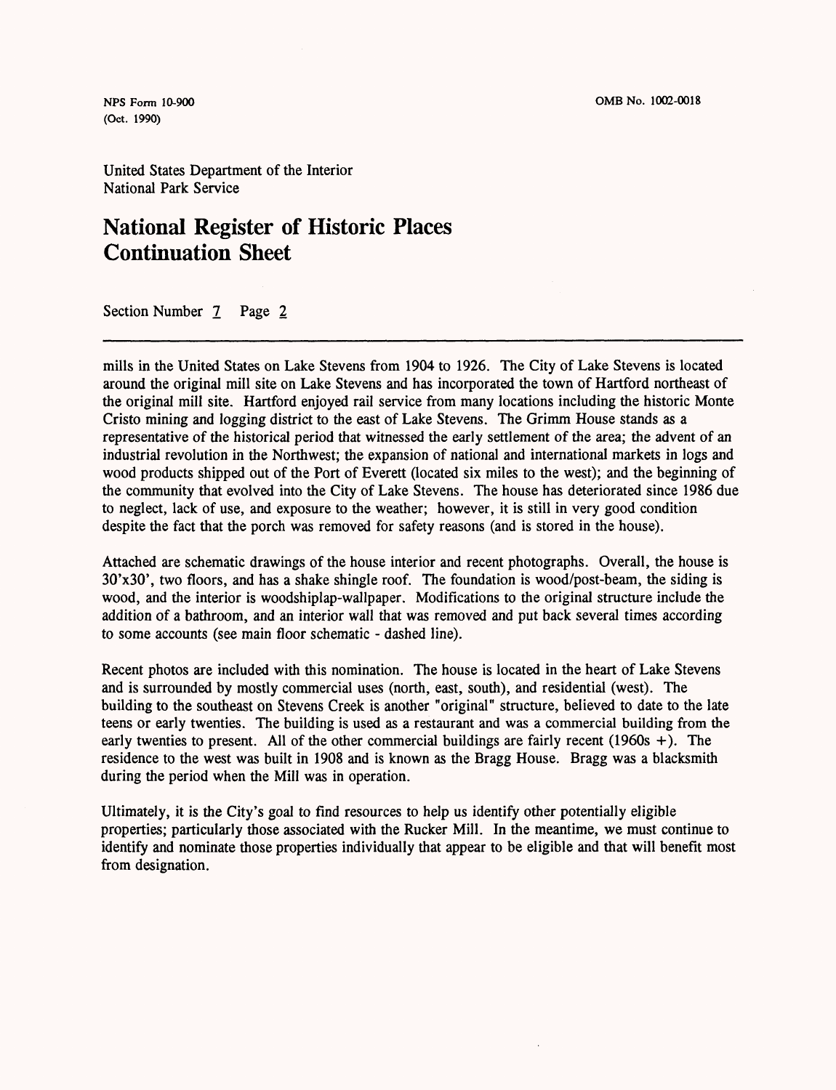**(Oct. 1990)**

United States Department of the Interior National Park Service

# **National Register of Historic Places Continuation Sheet**

Section Number 7 Page 2

mills in the United States on Lake Stevens from 1904 to 1926. The City of Lake Stevens is located around the original mill site on Lake Stevens and has incorporated the town of Hartford northeast of the original mill site. Hartford enjoyed rail service from many locations including the historic Monte Cristo mining and logging district to the east of Lake Stevens. The Grimm House stands as a representative of the historical period that witnessed the early settlement of the area; the advent of an industrial revolution in the Northwest; the expansion of national and international markets in logs and wood products shipped out of the Port of Everett (located six miles to the west); and the beginning of the community that evolved into the City of Lake Stevens. The house has deteriorated since 1986 due to neglect, lack of use, and exposure to the weather; however, it is still in very good condition despite the fact that the porch was removed for safety reasons (and is stored in the house).

Attached are schematic drawings of the house interior and recent photographs. Overall, the house is 30'x30', two floors, and has a shake shingle roof. The foundation is wood/post-beam, the siding is wood, and the interior is woodshiplap-wallpaper. Modifications to the original structure include the addition of a bathroom, and an interior wall that was removed and put back several times according to some accounts (see main floor schematic - dashed line).

Recent photos are included with this nomination. The house is located in the heart of Lake Stevens and is surrounded by mostly commercial uses (north, east, south), and residential (west). The building to the southeast on Stevens Creek is another "original" structure, believed to date to the late teens or early twenties. The building is used as a restaurant and was a commercial building from the early twenties to present. All of the other commercial buildings are fairly recent (1960s  $+$ ). The residence to the west was built in 1908 and is known as the Bragg House. Bragg was a blacksmith during the period when the Mill was in operation.

Ultimately, it is the City's goal to find resources to help us identify other potentially eligible properties; particularly those associated with the Rucker Mill. In the meantime, we must continue to identify and nominate those properties individually that appear to be eligible and that will benefit most from designation.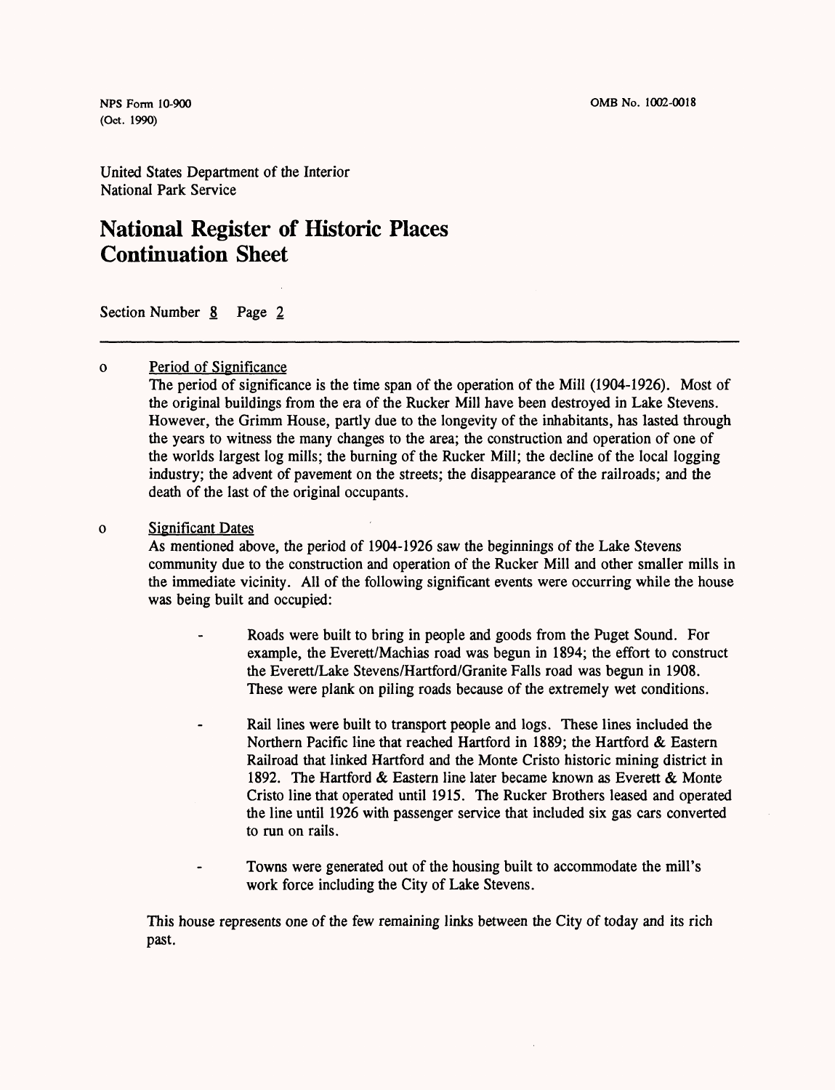(Oct. 1990)

United States Department of the Interior National Park Service

# **National Register of Historic Places Continuation Sheet**

Section Number 8 Page 2

#### Period of Significance  $\mathbf{o}$

The period of significance is the time span of the operation of the Mill (1904-1926). Most of the original buildings from the era of the Rucker Mill have been destroyed in Lake Stevens. However, the Grimm House, partly due to the longevity of the inhabitants, has lasted through the years to witness the many changes to the area; the construction and operation of one of the worlds largest log mills; the burning of the Rucker Mill; the decline of the local logging industry; the advent of pavement on the streets; the disappearance of the railroads; and the death of the last of the original occupants.

#### Significant Dates  $\mathbf{o}$

As mentioned above, the period of 1904-1926 saw the beginnings of the Lake Stevens community due to the construction and operation of the Rucker Mill and other smaller mills in the immediate vicinity. All of the following significant events were occurring while the house was being built and occupied:

- Roads were built to bring in people and goods from the Puget Sound. For example, the Everett/Machias road was begun in 1894; the effort to construct the Everett/Lake Stevens/Hartford/Granite Falls road was begun in 1908. These were plank on piling roads because of the extremely wet conditions.
- Rail lines were built to transport people and logs. These lines included the Northern Pacific line that reached Hartford in 1889; the Hartford & Eastern Railroad that linked Hartford and the Monte Cristo historic mining district in 1892. The Hartford & Eastern line later became known as Everett & Monte Cristo line that operated until 1915. The Rucker Brothers leased and operated the line until 1926 with passenger service that included six gas cars converted to run on rails.
- Towns were generated out of the housing built to accommodate the mill's work force including the City of Lake Stevens.

This house represents one of the few remaining links between the City of today and its rich past.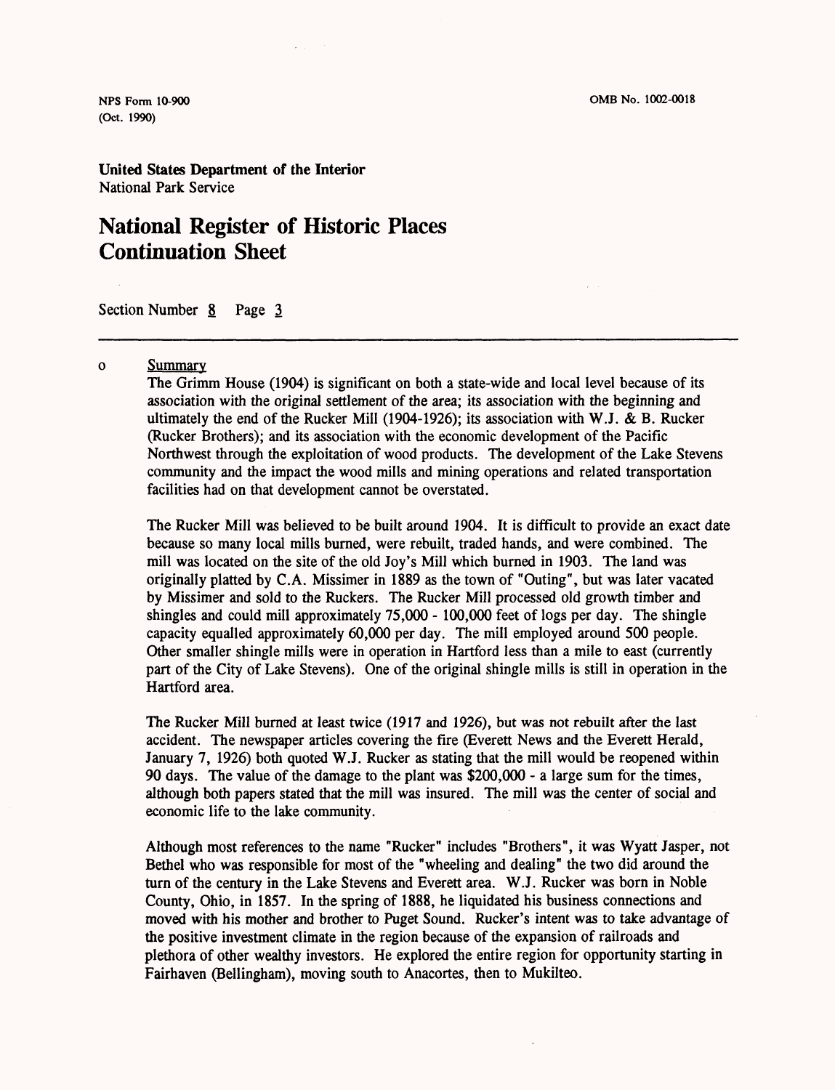**(Oct. 1990)**

**United States Department of the Interior** National Park Service

## **National Register of Historic Places Continuation Sheet**

Section Number 8 Page 3

#### Summary  $\Omega$

The Grimm House (1904) is significant on both a state-wide and local level because of its association with the original settlement of the area; its association with the beginning and ultimately the end of the Rucker Mill (1904-1926); its association with W.J. & B. Rucker (Rucker Brothers); and its association with the economic development of the Pacific Northwest through the exploitation of wood products. The development of the Lake Stevens community and the impact the wood mills and mining operations and related transportation facilities had on that development cannot be overstated.

The Rucker Mill was believed to be built around 1904. It is difficult to provide an exact date because so many local mills burned, were rebuilt, traded hands, and were combined. The mill was located on the site of the old Joy's Mill which burned in 1903. The land was originally platted by C.A. Missimer in 1889 as the town of "Outing", but was later vacated by Missimer and sold to the Ruckers. The Rucker Mill processed old growth timber and shingles and could mill approximately 75,000 - 100,000 feet of logs per day. The shingle capacity equalled approximately 60,000 per day. The mill employed around 500 people. Other smaller shingle mills were in operation in Hartford less than a mile to east (currently part of the City of Lake Stevens). One of the original shingle mills is still in operation in the Hartford area.

The Rucker Mill burned at least twice (1917 and 1926), but was not rebuilt after the last accident. The newspaper articles covering the fire (Everett News and the Everett Herald, January 7, 1926) both quoted W.J. Rucker as stating that the mill would be reopened within 90 days. The value of the damage to the plant was \$200,000 - a large sum for the times, although both papers stated that the mill was insured. The mill was the center of social and economic life to the lake community.

Although most references to the name "Rucker" includes "Brothers", it was Wyatt Jasper, not Bethel who was responsible for most of the "wheeling and dealing" the two did around the turn of the century in the Lake Stevens and Everett area. W.J. Rucker was born in Noble County, Ohio, in 1857. In the spring of 1888, he liquidated his business connections and moved with his mother and brother to Puget Sound. Rucker's intent was to take advantage of the positive investment climate in the region because of the expansion of railroads and plethora of other wealthy investors. He explored the entire region for opportunity starting in Fairhaven (Bellingham), moving south to Anacortes, then to Mukilteo.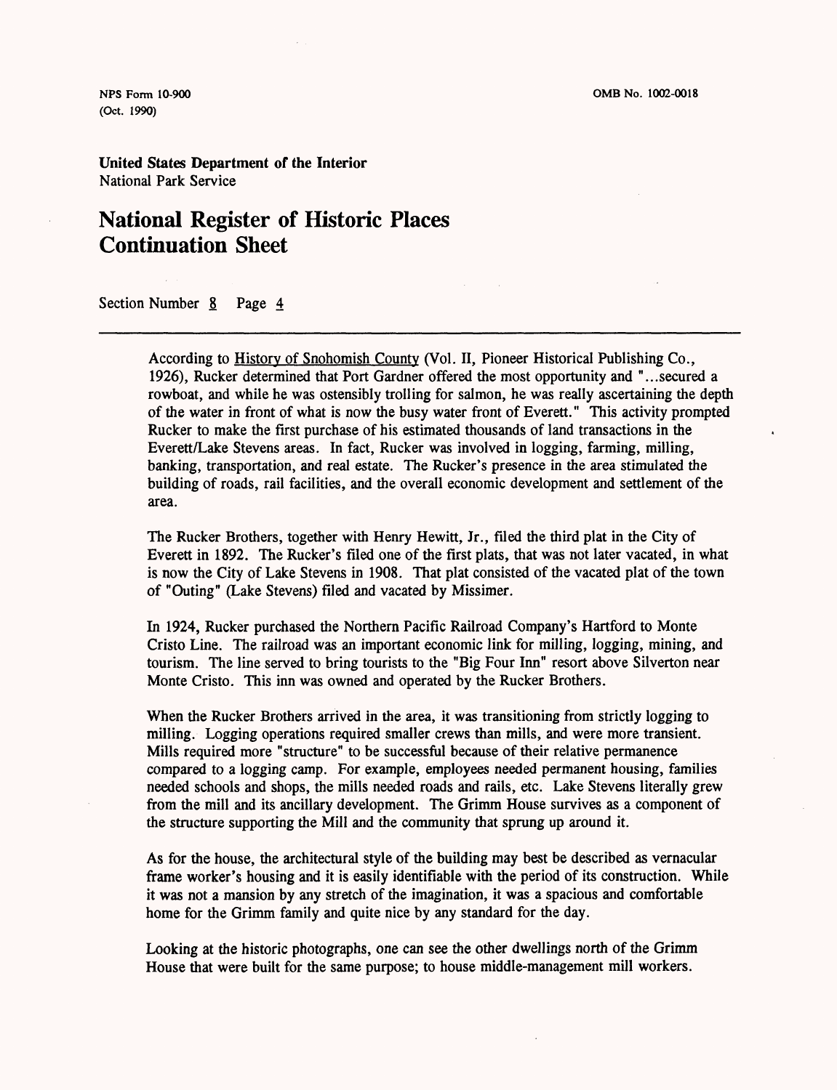**(Oct. 1990)**

**United States Department of the Interior** National Park Service

## **National Register of Historic Places Continuation Sheet**

Section Number 8 Page 4

According to History of Snohomish County (Vol. II, Pioneer Historical Publishing Co., 1926), Rucker determined that Port Gardner offered the most opportunity and "...secured a rowboat, and while he was ostensibly trolling for salmon, he was really ascertaining the depth of the water in front of what is now the busy water front of Everett." This activity prompted Rucker to make the first purchase of his estimated thousands of land transactions in the Everett/Lake Stevens areas. In fact, Rucker was involved in logging, farming, milling, banking, transportation, and real estate. The Rucker's presence in the area stimulated the building of roads, rail facilities, and the overall economic development and settlement of the area.

The Rucker Brothers, together with Henry Hewitt, Jr., filed the third plat in the City of Everett in 1892. The Rucker's filed one of the first plats, that was not later vacated, in what is now the City of Lake Stevens in 1908. That plat consisted of the vacated plat of the town of "Outing" (Lake Stevens) filed and vacated by Missimer.

In 1924, Rucker purchased the Northern Pacific Railroad Company's Hartford to Monte Cristo Line. The railroad was an important economic link for milling, logging, mining, and tourism. The line served to bring tourists to the "Big Four Inn" resort above Silverton near Monte Cristo. This inn was owned and operated by the Rucker Brothers.

When the Rucker Brothers arrived in the area, it was transitioning from strictly logging to milling. Logging operations required smaller crews than mills, and were more transient. Mills required more "structure" to be successful because of their relative permanence compared to a logging camp. For example, employees needed permanent housing, families needed schools and shops, the mills needed roads and rails, etc. Lake Stevens literally grew from the mill and its ancillary development. The Grimm House survives as a component of the structure supporting the Mill and the community that sprung up around it.

As for the house, the architectural style of the building may best be described as vernacular frame worker's housing and it is easily identifiable with the period of its construction. While it was not a mansion by any stretch of the imagination, it was a spacious and comfortable home for the Grimm family and quite nice by any standard for the day.

Looking at the historic photographs, one can see the other dwellings north of the Grimm House that were built for the same purpose; to house middle-management mill workers.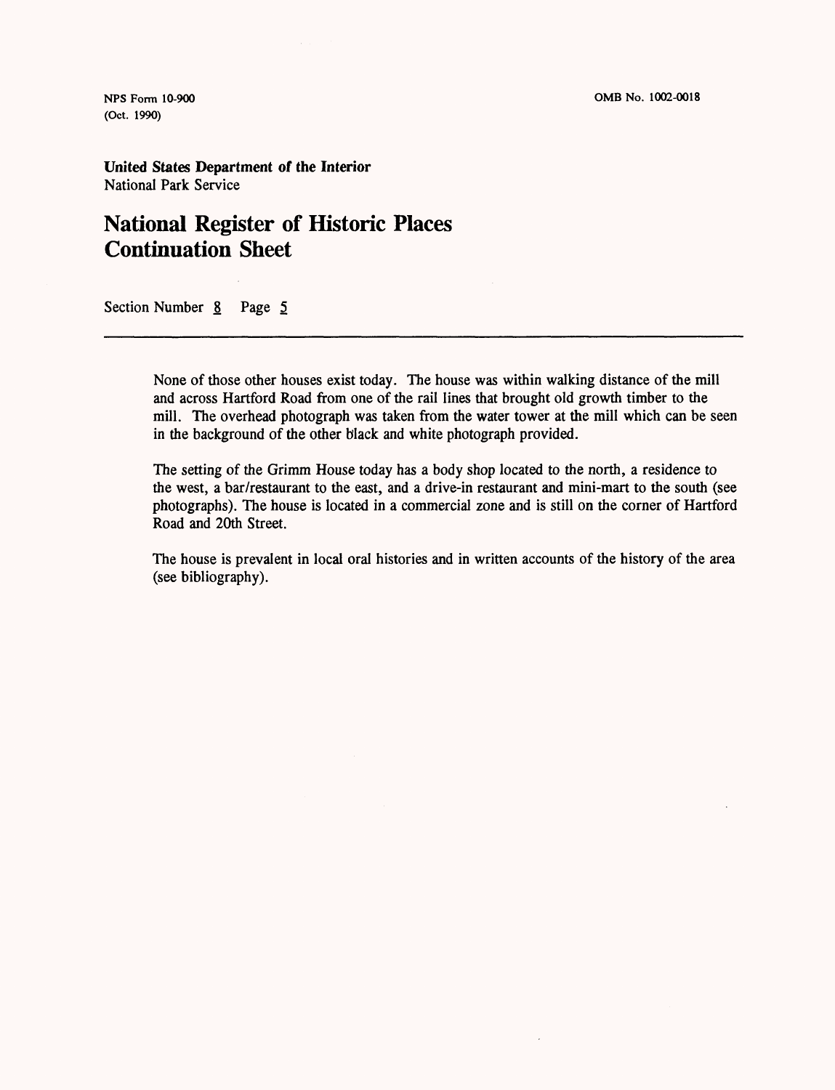**(Oct. 1990)**

**United States Department of the Interior** National Park Service

## **National Register of Historic Places Continuation Sheet**

Section Number 8 Page 5

None of those other houses exist today. The house was within walking distance of the mill and across Hartford Road from one of the rail lines that brought old growth timber to the mill. The overhead photograph was taken from the water tower at the mill which can be seen in the background of the other black and white photograph provided.

The setting of the Grimm House today has a body shop located to the north, a residence to the west, a bar/restaurant to the east, and a drive-in restaurant and mini-mart to the south (see photographs). The house is located in a commercial zone and is still on the corner of Hartford Road and 20th Street.

The house is prevalent in local oral histories and in written accounts of the history of the area (see bibliography).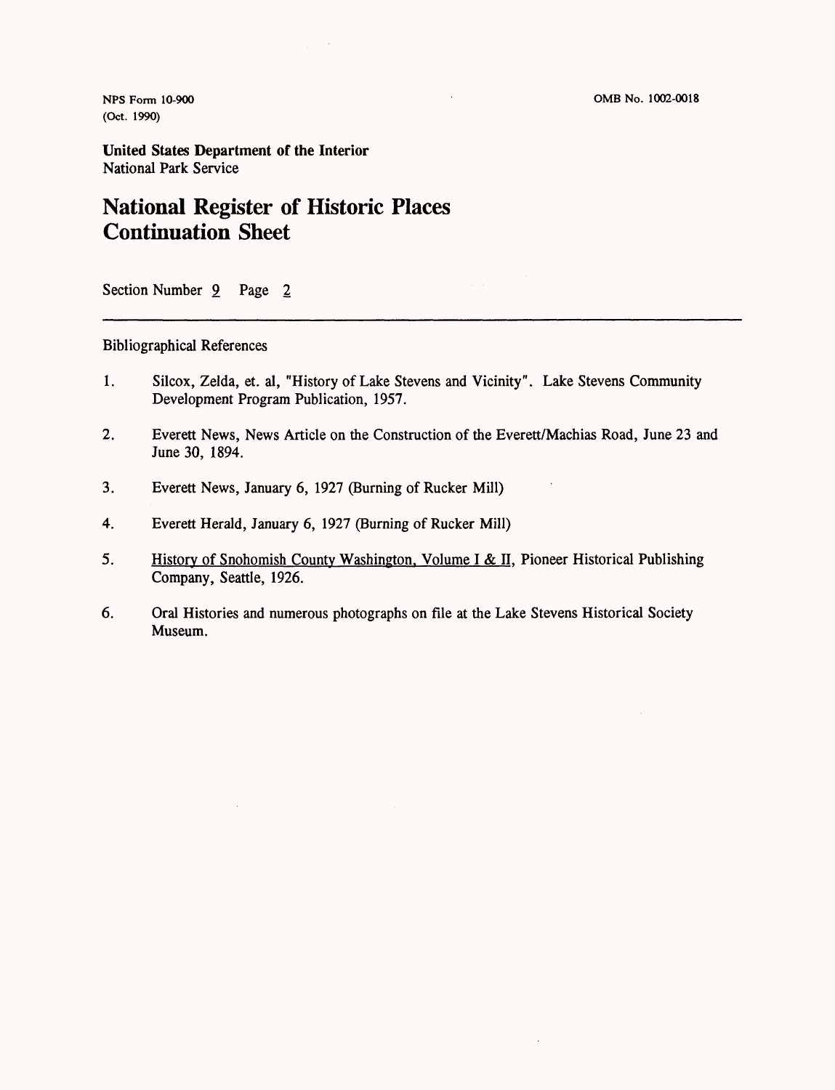**(Oct. 1990)**

**United States Department of the Interior** National Park Service

# **National Register of Historic Places Continuation Sheet**

Section Number 9 Page 2

### Bibliographical References

- 1. Silcox, Zelda, et. al, "History of Lake Stevens and Vicinity". Lake Stevens Community Development Program Publication, 1957.
- 2. Everett News, News Article on the Construction of the Everett/Machias Road, June 23 and June 30, 1894.
- 3. Everett News, January 6, 1927 (Burning of Rucker Mill)
- 4. Everett Herald, January 6, 1927 (Burning of Rucker Mill)
- 5. History of Snohomish County Washington, Volume I & II, Pioneer Historical Publishing Company, Seattle, 1926.
- 6. Oral Histories and numerous photographs on file at the Lake Stevens Historical Society Museum.